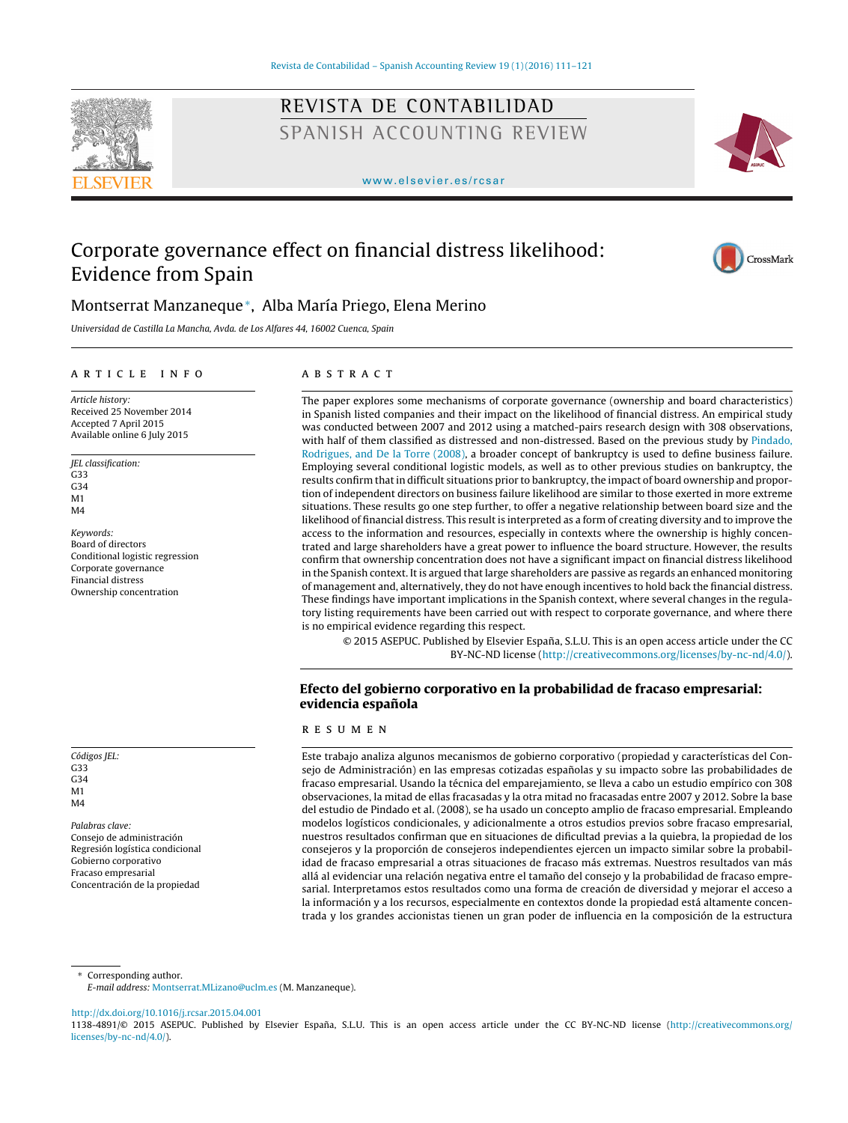

# REVISTA DE CONTABILIDAD SPANISH ACCOUNTING REVIEW





# Corporate governance effect on financial distress likelihood: Evidence from Spain



## Montserrat Manzaneque∗, Alba María Priego, Elena Merino

Universidad de Castilla La Mancha, Avda. de Los Alfares 44, 16002 Cuenca, Spain

## ARTICLE INFO

Article history: Received 25 November 2014 Accepted 7 April 2015 Available online 6 July 2015

JEL classification: G33 G34 M1 M4

Keywords: Board of directors Conditional logistic regression Corporate governance Financial distress Ownership concentration

Códigos JEL: G33 G34 M1 M4

Palabras clave: Consejo de administración Regresión logística condicional Gobierno corporativo Fracaso empresarial Concentración de la propiedad

## a b s t r a c t

The paper explores some mechanisms of corporate governance (ownership and board characteristics) in Spanish listed companies and their impact on the likelihood of financial distress. An empirical study was conducted between 2007 and 2012 using a matched-pairs research design with 308 observations, with half of them classified as distressed and non-distressed. Based on the previous study by [Pindado,](#page-10-0) [Rodrigues,](#page-10-0) [and](#page-10-0) [De](#page-10-0) [la](#page-10-0) [Torre](#page-10-0) [\(2008\),](#page-10-0) a broader concept of bankruptcy is used to define business failure. Employing several conditional logistic models, as well as to other previous studies on bankruptcy, the results confirm that in difficult situations prior to bankruptcy, the impact of board ownership and proportion of independent directors on business failure likelihood are similar to those exerted in more extreme situations. These results go one step further, to offer a negative relationship between board size and the likelihood of financial distress. This result is interpreted as a form of creating diversity and to improve the access to the information and resources, especially in contexts where the ownership is highly concentrated and large shareholders have a great power to influence the board structure. However, the results confirm that ownership concentration does not have a significant impact on financial distress likelihood in the Spanish context. It is argued that large shareholders are passive as regards an enhanced monitoring of management and, alternatively, they do not have enough incentives to hold back the financial distress. These findings have important implications in the Spanish context, where several changes in the regulatory listing requirements have been carried out with respect to corporate governance, and where there is no empirical evidence regarding this respect.

© 2015 ASEPUC. Published by Elsevier España, S.L.U. This is an open access article under the CC BY-NC-ND license [\(http://creativecommons.org/licenses/by-nc-nd/4.0/](http://creativecommons.org/licenses/by-nc-nd/4.0/)).

## **Efecto del gobierno corporativo en la probabilidad de fracaso empresarial: evidencia espanola ˜**

## r e s u m e n

Este trabajo analiza algunos mecanismos de gobierno corporativo (propiedad y características del Consejo de Administración) en las empresas cotizadas españolas y su impacto sobre las probabilidades de fracaso empresarial. Usando la técnica del emparejamiento, se lleva a cabo un estudio empírico con 308 observaciones, la mitad de ellas fracasadas y la otra mitad no fracasadas entre 2007 y 2012. Sobre la base del estudio de Pindado et al. (2008), se ha usado un concepto amplio de fracaso empresarial. Empleando modelos logísticos condicionales, y adicionalmente a otros estudios previos sobre fracaso empresarial, nuestros resultados confirman que en situaciones de dificultad previas a la quiebra, la propiedad de los consejeros y la proporción de consejeros independientes ejercen un impacto similar sobre la probabilidad de fracaso empresarial a otras situaciones de fracaso más extremas. Nuestros resultados van más allá al evidenciar una relación negativa entre el tamaño del consejo y la probabilidad de fracaso empresarial. Interpretamos estos resultados como una forma de creación de diversidad y mejorar el acceso a la información y a los recursos, especialmente en contextos donde la propiedad está altamente concentrada y los grandes accionistas tienen un gran poder de influencia en la composición de la estructura

Corresponding author.

[http://dx.doi.org/10.1016/j.rcsar.2015.04.001](dx.doi.org/10.1016/j.rcsar.2015.04.001)

E-mail address: [Montserrat.MLizano@uclm.es](mailto:Montserrat.MLizano@uclm.es) (M. Manzaneque).

<sup>1138-4891/©</sup> 2015 ASEPUC. Published by Elsevier España, S.L.U. This is an open access article under the CC BY-NC-ND license ([http://creativecommons.org/](http://creativecommons.org/licenses/by-nc-nd/4.0/) [licenses/by-nc-nd/4.0/](http://creativecommons.org/licenses/by-nc-nd/4.0/)).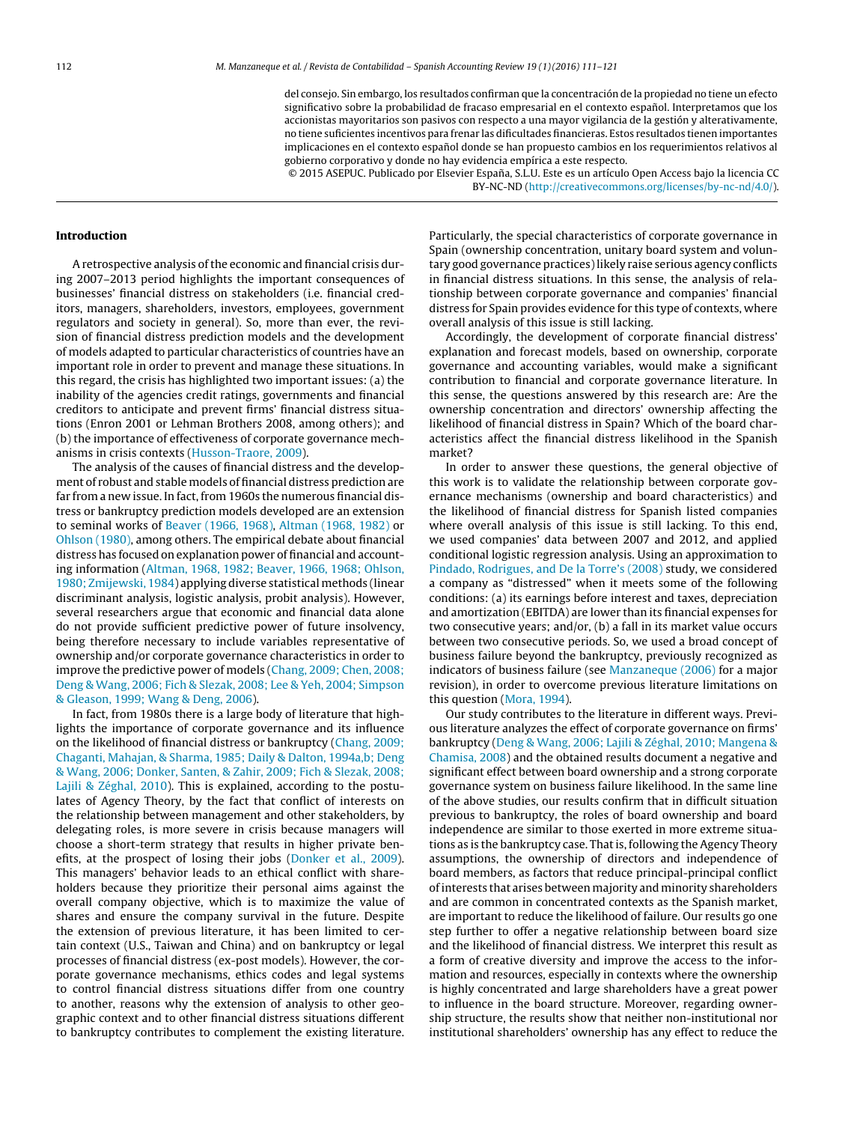del consejo. Sin embargo, los resultados confirman que la concentración de la propiedad no tiene un efecto significativo sobre la probabilidad de fracaso empresarial en el contexto español. Interpretamos que los accionistas mayoritarios son pasivos con respecto a una mayor vigilancia de la gestión y alterativamente, no tiene suficientes incentivos para frenar las dificultades financieras. Estos resultados tienen importantes implicaciones en el contexto español donde se han propuesto cambios en los requerimientos relativos al gobierno corporativo y donde no hay evidencia empírica a este respecto.

© 2015 ASEPUC. Publicado por Elsevier España, S.L.U. Este es un artículo Open Access bajo la licencia CC BY-NC-ND [\(http://creativecommons.org/licenses/by-nc-nd/4.0/\)](http://creativecommons.org/licenses/by-nc-nd/4.0/).

## **Introduction**

A retrospective analysis of the economic and financial crisis during 2007–2013 period highlights the important consequences of businesses' financial distress on stakeholders (i.e. financial creditors, managers, shareholders, investors, employees, government regulators and society in general). So, more than ever, the revision of financial distress prediction models and the development of models adapted to particular characteristics of countries have an important role in order to prevent and manage these situations. In this regard, the crisis has highlighted two important issues: (a) the inability of the agencies credit ratings, governments and financial creditors to anticipate and prevent firms' financial distress situations (Enron 2001 or Lehman Brothers 2008, among others); and (b) the importance of effectiveness of corporate governance mechanisms in crisis contexts ([Husson-Traore,](#page-10-0) [2009\).](#page-10-0)

The analysis of the causes of financial distress and the development of robust and stable models of financial distress prediction are far from a new issue. In fact, from 1960s the numerous financial distress or bankruptcy prediction models developed are an extension to seminal works of [Beaver](#page-9-0) [\(1966,](#page-9-0) [1968\),](#page-9-0) [Altman](#page-9-0) [\(1968,](#page-9-0) [1982\)](#page-9-0) or [Ohlson](#page-10-0) [\(1980\),](#page-10-0) among others. The empirical debate about financial distress has focused on explanation power of financial and accounting information [\(Altman,](#page-9-0) [1968,](#page-9-0) [1982;](#page-9-0) [Beaver,](#page-9-0) [1966,](#page-9-0) [1968;](#page-9-0) [Ohlson,](#page-9-0) [1980;](#page-9-0) [Zmijewski,](#page-9-0) [1984\)](#page-9-0) applying diverse statistical methods (linear discriminant analysis, logistic analysis, probit analysis). However, several researchers argue that economic and financial data alone do not provide sufficient predictive power of future insolvency, being therefore necessary to include variables representative of ownership and/or corporate governance characteristics in order to improve the predictive power of models [\(Chang,](#page-10-0) [2009;](#page-10-0) [Chen,](#page-10-0) [2008;](#page-10-0) [Deng](#page-10-0) [&](#page-10-0) [Wang,](#page-10-0) [2006;](#page-10-0) [Fich](#page-10-0) [&](#page-10-0) [Slezak,](#page-10-0) [2008;](#page-10-0) [Lee](#page-10-0) [&](#page-10-0) [Yeh,](#page-10-0) [2004;](#page-10-0) [Simpson](#page-10-0) [&](#page-10-0) [Gleason,](#page-10-0) [1999;](#page-10-0) [Wang](#page-10-0) [&](#page-10-0) [Deng,](#page-10-0) [2006\).](#page-10-0)

In fact, from 1980s there is a large body of literature that highlights the importance of corporate governance and its influence on the likelihood of financial distress or bankruptcy ([Chang,](#page-10-0) [2009;](#page-10-0) [Chaganti,](#page-10-0) [Mahajan,](#page-10-0) [&](#page-10-0) [Sharma,](#page-10-0) [1985;](#page-10-0) [Daily](#page-10-0) [&](#page-10-0) [Dalton,](#page-10-0) [1994a,b;](#page-10-0) [Deng](#page-10-0) [&](#page-10-0) [Wang,](#page-10-0) [2006;](#page-10-0) [Donker,](#page-10-0) [Santen,](#page-10-0) [&](#page-10-0) [Zahir,](#page-10-0) [2009;](#page-10-0) [Fich](#page-10-0) [&](#page-10-0) [Slezak,](#page-10-0) [2008;](#page-10-0) [Lajili](#page-10-0) [&](#page-10-0) [Zéghal,](#page-10-0) [2010\).](#page-10-0) This is explained, according to the postulates of Agency Theory, by the fact that conflict of interests on the relationship between management and other stakeholders, by delegating roles, is more severe in crisis because managers will choose a short-term strategy that results in higher private benefits, at the prospect of losing their jobs ([Donker](#page-10-0) et [al.,](#page-10-0) [2009\).](#page-10-0) This managers' behavior leads to an ethical conflict with shareholders because they prioritize their personal aims against the overall company objective, which is to maximize the value of shares and ensure the company survival in the future. Despite the extension of previous literature, it has been limited to certain context (U.S., Taiwan and China) and on bankruptcy or legal processes of financial distress (ex-post models). However, the corporate governance mechanisms, ethics codes and legal systems to control financial distress situations differ from one country to another, reasons why the extension of analysis to other geographic context and to other financial distress situations different to bankruptcy contributes to complement the existing literature. Particularly, the special characteristics of corporate governance in Spain (ownership concentration, unitary board system and voluntary good governance practices)likely raise serious agency conflicts in financial distress situations. In this sense, the analysis of relationship between corporate governance and companies' financial distress for Spain provides evidence for this type of contexts, where overall analysis of this issue is still lacking.

Accordingly, the development of corporate financial distress' explanation and forecast models, based on ownership, corporate governance and accounting variables, would make a significant contribution to financial and corporate governance literature. In this sense, the questions answered by this research are: Are the ownership concentration and directors' ownership affecting the likelihood of financial distress in Spain? Which of the board characteristics affect the financial distress likelihood in the Spanish market?

In order to answer these questions, the general objective of this work is to validate the relationship between corporate governance mechanisms (ownership and board characteristics) and the likelihood of financial distress for Spanish listed companies where overall analysis of this issue is still lacking. To this end, we used companies' data between 2007 and 2012, and applied conditional logistic regression analysis. Using an approximation to [Pindado,](#page-10-0) [Rodrigues,](#page-10-0) [and](#page-10-0) [De](#page-10-0) [la](#page-10-0) [Torre's](#page-10-0) [\(2008\)](#page-10-0) study, we considered a company as "distressed" when it meets some of the following conditions: (a) its earnings before interest and taxes, depreciation and amortization (EBITDA) are lower than its financial expenses for two consecutive years; and/or, (b) a fall in its market value occurs between two consecutive periods. So, we used a broad concept of business failure beyond the bankruptcy, previously recognized as indicators of business failure (see [Manzaneque](#page-10-0) [\(2006\)](#page-10-0) for a major revision), in order to overcome previous literature limitations on this question [\(Mora,](#page-10-0) [1994\).](#page-10-0)

Our study contributes to the literature in different ways. Previous literature analyzes the effect of corporate governance on firms' bankruptcy ([Deng](#page-10-0) [&](#page-10-0) [Wang,](#page-10-0) [2006;](#page-10-0) [Lajili](#page-10-0) [&](#page-10-0) [Zéghal,](#page-10-0) [2010;](#page-10-0) [Mangena](#page-10-0) [&](#page-10-0) [Chamisa,](#page-10-0) [2008\)](#page-10-0) and the obtained results document a negative and significant effect between board ownership and a strong corporate governance system on business failure likelihood. In the same line of the above studies, our results confirm that in difficult situation previous to bankruptcy, the roles of board ownership and board independence are similar to those exerted in more extreme situations as is the bankruptcy case. That is, following the Agency Theory assumptions, the ownership of directors and independence of board members, as factors that reduce principal-principal conflict ofinterests that arises between majority and minority shareholders and are common in concentrated contexts as the Spanish market, are important to reduce the likelihood of failure. Our results go one step further to offer a negative relationship between board size and the likelihood of financial distress. We interpret this result as a form of creative diversity and improve the access to the information and resources, especially in contexts where the ownership is highly concentrated and large shareholders have a great power to influence in the board structure. Moreover, regarding ownership structure, the results show that neither non-institutional nor institutional shareholders' ownership has any effect to reduce the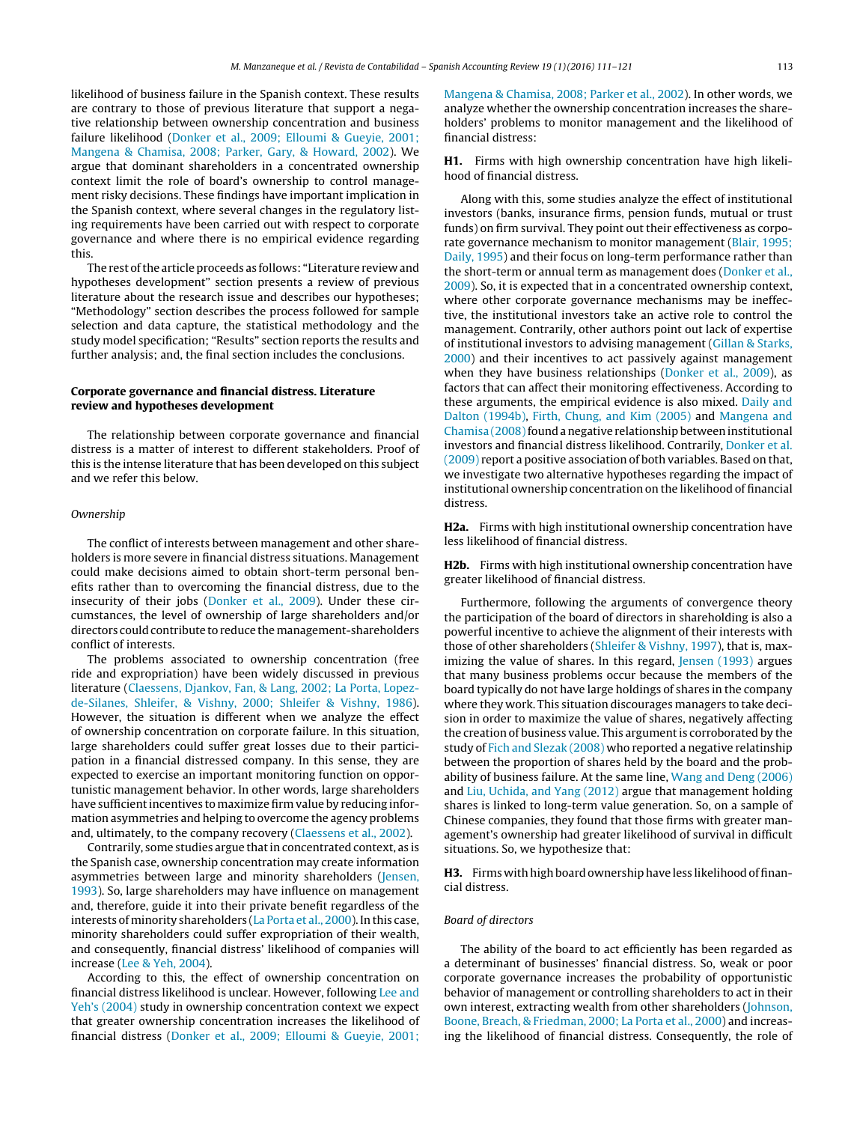<span id="page-2-0"></span>likelihood of business failure in the Spanish context. These results are contrary to those of previous literature that support a negative relationship between ownership concentration and business failure likelihood ([Donker](#page-10-0) et [al.,](#page-10-0) [2009;](#page-10-0) [Elloumi](#page-10-0) [&](#page-10-0) [Gueyie,](#page-10-0) [2001;](#page-10-0) [Mangena](#page-10-0) [&](#page-10-0) [Chamisa,](#page-10-0) [2008;](#page-10-0) [Parker,](#page-10-0) [Gary,](#page-10-0) [&](#page-10-0) [Howard,](#page-10-0) [2002\).](#page-10-0) We argue that dominant shareholders in a concentrated ownership context limit the role of board's ownership to control management risky decisions. These findings have important implication in the Spanish context, where several changes in the regulatory listing requirements have been carried out with respect to corporate governance and where there is no empirical evidence regarding this.

The rest of the article proceeds as follows: "Literature review and hypotheses development" section presents a review of previous literature about the research issue and describes our hypotheses; "Methodology" section describes the process followed for sample selection and data capture, the statistical methodology and the study model specification; "Results" section reports the results and further analysis; and, the final section includes the conclusions.

## **Corporate governance and financial distress. Literature review and hypotheses development**

The relationship between corporate governance and financial distress is a matter of interest to different stakeholders. Proof of this is the intense literature that has been developed on this subject and we refer this below.

## Ownership

The conflict of interests between management and other shareholders is more severe in financial distress situations. Management could make decisions aimed to obtain short-term personal benefits rather than to overcoming the financial distress, due to the insecurity of their jobs ([Donker](#page-10-0) et [al.,](#page-10-0) [2009\).](#page-10-0) Under these circumstances, the level of ownership of large shareholders and/or directors could contribute to reduce the management-shareholders conflict of interests.

The problems associated to ownership concentration (free ride and expropriation) have been widely discussed in previous literature [\(Claessens,](#page-10-0) [Djankov,](#page-10-0) [Fan,](#page-10-0) [&](#page-10-0) [Lang,](#page-10-0) [2002;](#page-10-0) [La](#page-10-0) [Porta,](#page-10-0) [Lopez](#page-10-0)de-Silanes, [Shleifer,](#page-10-0) [&](#page-10-0) [Vishny,](#page-10-0) [2000;](#page-10-0) [Shleifer](#page-10-0) [&](#page-10-0) [Vishny,](#page-10-0) [1986\).](#page-10-0) However, the situation is different when we analyze the effect of ownership concentration on corporate failure. In this situation, large shareholders could suffer great losses due to their participation in a financial distressed company. In this sense, they are expected to exercise an important monitoring function on opportunistic management behavior. In other words, large shareholders have sufficient incentives to maximize firm value by reducing information asymmetries and helping to overcome the agency problems and, ultimately, to the company recovery [\(Claessens](#page-10-0) et [al.,](#page-10-0) [2002\).](#page-10-0)

Contrarily, some studies argue that in concentrated context, as is the Spanish case, ownership concentration may create information asymmetries between large and minority shareholders [\(Jensen,](#page-10-0) [1993\).](#page-10-0) So, large shareholders may have influence on management and, therefore, guide it into their private benefit regardless of the interests of minority shareholders [\(La](#page-10-0) [Porta](#page-10-0) et [al.,](#page-10-0) [2000\).](#page-10-0) In this case, minority shareholders could suffer expropriation of their wealth, and consequently, financial distress' likelihood of companies will increase [\(Lee](#page-10-0) [&](#page-10-0) [Yeh,](#page-10-0) [2004\).](#page-10-0)

According to this, the effect of ownership concentration on financial distress likelihood is unclear. However, following [Lee](#page-10-0) [and](#page-10-0) [Yeh's](#page-10-0) [\(2004\)](#page-10-0) study in ownership concentration context we expect that greater ownership concentration increases the likelihood of financial distress [\(Donker](#page-10-0) et [al.,](#page-10-0) [2009;](#page-10-0) [Elloumi](#page-10-0) [&](#page-10-0) [Gueyie,](#page-10-0) [2001;](#page-10-0)

[Mangena](#page-10-0) [&](#page-10-0) [Chamisa,](#page-10-0) [2008;](#page-10-0) [Parker](#page-10-0) et [al.,](#page-10-0) [2002\).](#page-10-0) In other words, we analyze whether the ownership concentration increases the shareholders' problems to monitor management and the likelihood of financial distress:

**H1.** Firms with high ownership concentration have high likelihood of financial distress.

Along with this, some studies analyze the effect of institutional investors (banks, insurance firms, pension funds, mutual or trust funds) on firm survival. They point out their effectiveness as corporate governance mechanism to monitor management [\(Blair,](#page-9-0) [1995;](#page-9-0) [Daily,](#page-9-0) [1995\)](#page-9-0) and their focus on long-term performance rather than the short-term or annual term as management does ([Donker](#page-10-0) et [al.,](#page-10-0) [2009\).](#page-10-0) So, it is expected that in a concentrated ownership context, where other corporate governance mechanisms may be ineffective, the institutional investors take an active role to control the management. Contrarily, other authors point out lack of expertise of institutional investors to advising management [\(Gillan](#page-10-0) [&](#page-10-0) [Starks,](#page-10-0) [2000\)](#page-10-0) and their incentives to act passively against management when they have business relationships ([Donker](#page-10-0) et [al.,](#page-10-0) [2009\),](#page-10-0) as factors that can affect their monitoring effectiveness. According to these arguments, the empirical evidence is also mixed. [Daily](#page-10-0) [and](#page-10-0) [Dalton](#page-10-0) [\(1994b\),](#page-10-0) [Firth,](#page-10-0) [Chung,](#page-10-0) [and](#page-10-0) [Kim](#page-10-0) [\(2005\)](#page-10-0) and [Mangena](#page-10-0) [and](#page-10-0) [Chamisa](#page-10-0) (2008) found a negative relationship between institutional investors and financial distress likelihood. Contrarily, [Donker](#page-10-0) et [al.](#page-10-0) [\(2009\)](#page-10-0) report a positive association of both variables. Based on that, we investigate two alternative hypotheses regarding the impact of institutional ownership concentration on the likelihood of financial distress.

**H2a.** Firms with high institutional ownership concentration have less likelihood of financial distress.

**H2b.** Firms with high institutional ownership concentration have greater likelihood of financial distress.

Furthermore, following the arguments of convergence theory the participation of the board of directors in shareholding is also a powerful incentive to achieve the alignment of their interests with those of other shareholders [\(Shleifer](#page-10-0) [&](#page-10-0) [Vishny,](#page-10-0) [1997\),](#page-10-0) that is, max-imizing the value of shares. In this regard, [Jensen](#page-10-0) [\(1993\)](#page-10-0) argues that many business problems occur because the members of the board typically do not have large holdings of shares in the company where they work. This situation discourages managers to take decision in order to maximize the value of shares, negatively affecting the creation of business value. This argument is corroborated by the study of [Fich](#page-10-0) [and](#page-10-0) [Slezak](#page-10-0) [\(2008\)](#page-10-0) who reported a negative relatinship between the proportion of shares held by the board and the probability of business failure. At the same line, [Wang](#page-10-0) [and](#page-10-0) [Deng](#page-10-0) [\(2006\)](#page-10-0) and [Liu,](#page-10-0) [Uchida,](#page-10-0) [and](#page-10-0) [Yang](#page-10-0) [\(2012\)](#page-10-0) argue that management holding shares is linked to long-term value generation. So, on a sample of Chinese companies, they found that those firms with greater management's ownership had greater likelihood of survival in difficult situations. So, we hypothesize that:

**H3.** Firms withhighboardownershiphave less likelihoodoffinancial distress.

## Board of directors

The ability of the board to act efficiently has been regarded as a determinant of businesses' financial distress. So, weak or poor corporate governance increases the probability of opportunistic behavior of management or controlling shareholders to act in their own interest, extracting wealth from other shareholders [\(Johnson,](#page-10-0) [Boone,](#page-10-0) [Breach,](#page-10-0) [&](#page-10-0) [Friedman,](#page-10-0) [2000;](#page-10-0) [La](#page-10-0) [Porta](#page-10-0) et [al.,](#page-10-0) [2000\)](#page-10-0) and increasing the likelihood of financial distress. Consequently, the role of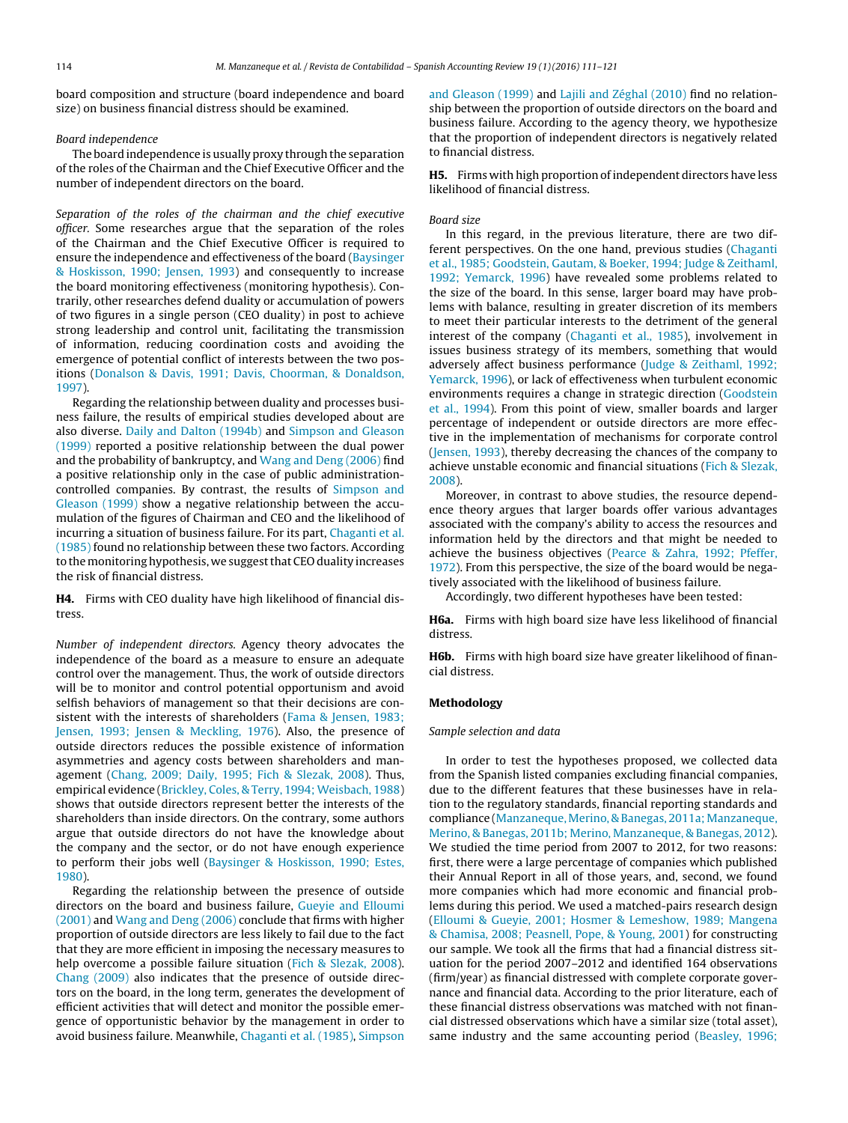<span id="page-3-0"></span>board composition and structure (board independence and board size) on business financial distress should be examined.

#### Board independence

The board independence is usually proxy through the separation of the roles of the Chairman and the Chief Executive Officer and the number of independent directors on the board.

Separation of the roles of the chairman and the chief executive officer. Some researches argue that the separation of the roles of the Chairman and the Chief Executive Officer is required to ensure the independence and effectiveness of the board [\(Baysinger](#page-9-0) [&](#page-9-0) [Hoskisson,](#page-9-0) [1990;](#page-9-0) [Jensen,](#page-9-0) [1993\)](#page-9-0) and consequently to increase the board monitoring effectiveness (monitoring hypothesis). Contrarily, other researches defend duality or accumulation of powers of two figures in a single person (CEO duality) in post to achieve strong leadership and control unit, facilitating the transmission of information, reducing coordination costs and avoiding the emergence of potential conflict of interests between the two positions ([Donalson](#page-10-0) [&](#page-10-0) [Davis,](#page-10-0) [1991;](#page-10-0) [Davis,](#page-10-0) [Choorman,](#page-10-0) [&](#page-10-0) [Donaldson,](#page-10-0) [1997\).](#page-10-0)

Regarding the relationship between duality and processes business failure, the results of empirical studies developed about are also diverse. [Daily](#page-10-0) [and](#page-10-0) [Dalton](#page-10-0) [\(1994b\)](#page-10-0) and [Simpson](#page-10-0) [and](#page-10-0) [Gleason](#page-10-0) [\(1999\)](#page-10-0) reported a positive relationship between the dual power and the probability of bankruptcy, and [Wang](#page-10-0) [and](#page-10-0) [Deng](#page-10-0) [\(2006\)](#page-10-0) find a positive relationship only in the case of public administrationcontrolled companies. By contrast, the results of [Simpson](#page-10-0) [and](#page-10-0) [Gleason](#page-10-0) [\(1999\)](#page-10-0) show a negative relationship between the accumulation of the figures of Chairman and CEO and the likelihood of incurring a situation of business failure. For its part, [Chaganti](#page-10-0) et [al.](#page-10-0) [\(1985\)](#page-10-0) found no relationship between these two factors. According to the monitoring hypothesis, we suggest that CEO duality increases the risk of financial distress.

**H4.** Firms with CEO duality have high likelihood of financial distress.

Number of independent directors. Agency theory advocates the independence of the board as a measure to ensure an adequate control over the management. Thus, the work of outside directors will be to monitor and control potential opportunism and avoid selfish behaviors of management so that their decisions are con-sistent with the interests of shareholders ([Fama](#page-10-0) [&](#page-10-0) [Jensen,](#page-10-0) [1983;](#page-10-0) [Jensen,](#page-10-0) [1993;](#page-10-0) [Jensen](#page-10-0) [&](#page-10-0) [Meckling,](#page-10-0) [1976\).](#page-10-0) Also, the presence of outside directors reduces the possible existence of information asymmetries and agency costs between shareholders and management ([Chang,](#page-10-0) [2009;](#page-10-0) [Daily,](#page-10-0) [1995;](#page-10-0) [Fich](#page-10-0) [&](#page-10-0) [Slezak,](#page-10-0) [2008\).](#page-10-0) Thus, empirical evidence [\(Brickley,](#page-9-0) [Coles,](#page-9-0) [&](#page-9-0) [Terry,](#page-9-0) [1994;](#page-9-0) [Weisbach,](#page-9-0) [1988\)](#page-9-0) shows that outside directors represent better the interests of the shareholders than inside directors. On the contrary, some authors argue that outside directors do not have the knowledge about the company and the sector, or do not have enough experience to perform their jobs well [\(Baysinger](#page-9-0) [&](#page-9-0) [Hoskisson,](#page-9-0) [1990;](#page-9-0) [Estes,](#page-9-0) [1980\).](#page-9-0)

Regarding the relationship between the presence of outside directors on the board and business failure, [Gueyie](#page-10-0) [and](#page-10-0) [Elloumi](#page-10-0) [\(2001\)](#page-10-0) and [Wang](#page-10-0) [and](#page-10-0) [Deng](#page-10-0) [\(2006\)](#page-10-0) conclude that firms with higher proportion of outside directors are less likely to fail due to the fact that they are more efficient in imposing the necessary measures to help overcome a possible failure situation [\(Fich](#page-10-0) [&](#page-10-0) [Slezak,](#page-10-0) [2008\).](#page-10-0) [Chang](#page-10-0) [\(2009\)](#page-10-0) also indicates that the presence of outside directors on the board, in the long term, generates the development of efficient activities that will detect and monitor the possible emergence of opportunistic behavior by the management in order to avoid business failure. Meanwhile, [Chaganti](#page-10-0) et [al.](#page-10-0) [\(1985\),](#page-10-0) [Simpson](#page-10-0) [and](#page-10-0) [Gleason](#page-10-0) [\(1999\)](#page-10-0) and [Lajili](#page-10-0) [and](#page-10-0) [Zéghal](#page-10-0) [\(2010\)](#page-10-0) find no relationship between the proportion of outside directors on the board and business failure. According to the agency theory, we hypothesize that the proportion of independent directors is negatively related to financial distress.

**H5.** Firms with high proportion ofindependent directors have less likelihood of financial distress.

## Board size

In this regard, in the previous literature, there are two different perspectives. On the one hand, previous studies [\(Chaganti](#page-10-0) et [al.,](#page-10-0) [1985;](#page-10-0) [Goodstein,](#page-10-0) [Gautam,](#page-10-0) [&](#page-10-0) [Boeker,](#page-10-0) [1994;](#page-10-0) [Judge](#page-10-0) [&](#page-10-0) [Zeithaml,](#page-10-0) [1992;](#page-10-0) [Yemarck,](#page-10-0) [1996\)](#page-10-0) have revealed some problems related to the size of the board. In this sense, larger board may have problems with balance, resulting in greater discretion of its members to meet their particular interests to the detriment of the general interest of the company [\(Chaganti](#page-10-0) et [al.,](#page-10-0) [1985\),](#page-10-0) involvement in issues business strategy of its members, something that would adversely affect business performance [\(Judge](#page-10-0) [&](#page-10-0) [Zeithaml,](#page-10-0) [1992;](#page-10-0) [Yemarck,](#page-10-0) [1996\),](#page-10-0) or lack of effectiveness when turbulent economic environments requires a change in strategic direction [\(Goodstein](#page-10-0) et [al.,](#page-10-0) [1994\).](#page-10-0) From this point of view, smaller boards and larger percentage of independent or outside directors are more effective in the implementation of mechanisms for corporate control [\(Jensen,](#page-10-0) [1993\),](#page-10-0) thereby decreasing the chances of the company to achieve unstable economic and financial situations ([Fich](#page-10-0) [&](#page-10-0) [Slezak,](#page-10-0) [2008\).](#page-10-0)

Moreover, in contrast to above studies, the resource dependence theory argues that larger boards offer various advantages associated with the company's ability to access the resources and information held by the directors and that might be needed to achieve the business objectives [\(Pearce](#page-10-0) [&](#page-10-0) [Zahra,](#page-10-0) [1992;](#page-10-0) [Pfeffer,](#page-10-0) [1972\).](#page-10-0) From this perspective, the size of the board would be negatively associated with the likelihood of business failure.

Accordingly, two different hypotheses have been tested:

**H6a.** Firms with high board size have less likelihood of financial distress.

**H6b.** Firms with high board size have greater likelihood of financial distress.

## **Methodology**

#### Sample selection and data

In order to test the hypotheses proposed, we collected data from the Spanish listed companies excluding financial companies, due to the different features that these businesses have in relation to the regulatory standards, financial reporting standards and compliance (Manzaneque, Merino, [&](#page-10-0) [Banegas,](#page-10-0) 2011a; Manzaneque, [Merino,](#page-10-0) [&](#page-10-0) [Banegas,](#page-10-0) [2011b;](#page-10-0) [Merino,](#page-10-0) [Manzaneque,](#page-10-0) [&](#page-10-0) [Banegas,](#page-10-0) [2012\).](#page-10-0) We studied the time period from 2007 to 2012, for two reasons: first, there were a large percentage of companies which published their Annual Report in all of those years, and, second, we found more companies which had more economic and financial problems during this period. We used a matched-pairs research design [\(Elloumi](#page-10-0) [&](#page-10-0) [Gueyie,](#page-10-0) [2001;](#page-10-0) [Hosmer](#page-10-0) [&](#page-10-0) [Lemeshow,](#page-10-0) [1989;](#page-10-0) [Mangena](#page-10-0) [&](#page-10-0) [Chamisa,](#page-10-0) [2008;](#page-10-0) [Peasnell,](#page-10-0) [Pope,](#page-10-0) [&](#page-10-0) [Young,](#page-10-0) [2001\)](#page-10-0) for constructing our sample. We took all the firms that had a financial distress situation for the period 2007–2012 and identified 164 observations (firm/year) as financial distressed with complete corporate governance and financial data. According to the prior literature, each of these financial distress observations was matched with not financial distressed observations which have a similar size (total asset), same industry and the same accounting period [\(Beasley,](#page-9-0) [1996;](#page-9-0)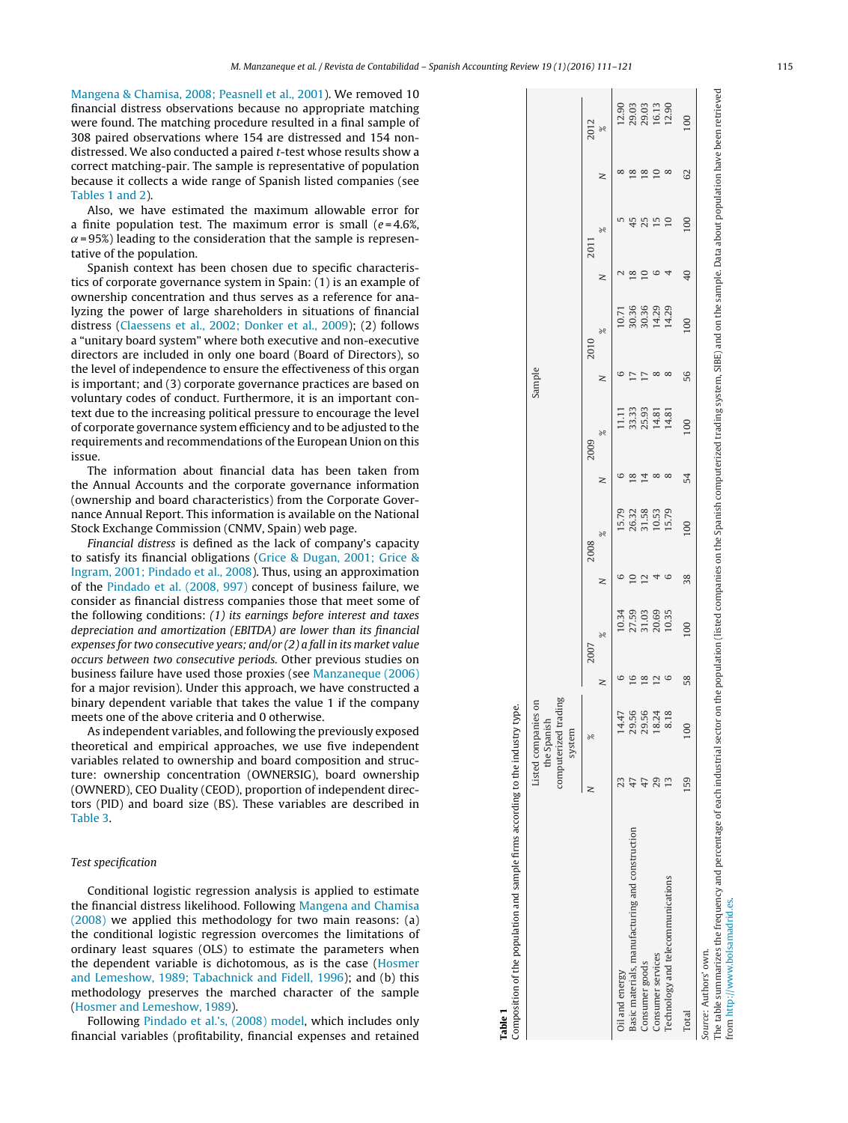[Mangena](#page-9-0) [&](#page-9-0) [Chamisa,](#page-9-0) [2008;](#page-9-0) [Peasnell](#page-9-0) et [al.,](#page-9-0) [2001\).](#page-9-0) We removed 10 financial distress observations because no appropriate matching were found. The matching procedure resulted in a final sample of 308 paired observations where 154 are distressed and 154 nondistressed. We also conducted a paired t-test whose results show a correct matching-pair. The sample is representative of population because it collects a wide range of Spanish listed companies (see Tables 1 and 2).

Also, we have estimated the maximum allowable error for a finite population test. The maximum error is small ( $e$ =4.6%,  $\alpha$  = 95%) leading to the consideration that the sample is representative of the population.

Spanish context has been chosen due to specific characteristics of corporate governance system in Spain: (1) is an example of ownership concentration and thus serves as a reference for analyzing the power of large shareholders in situations of financial distress [\(Claessens](#page-10-0) et [al.,](#page-10-0) [2002;](#page-10-0) [Donker](#page-10-0) et [al.,](#page-10-0) [2009\);](#page-10-0) (2) follows a "unitary board system" where both executive and non-executive directors are included in only one board (Board of Directors), so the level of independence to ensure the effectiveness of this organ is important; and (3) corporate governance practices are based on voluntary codes of conduct. Furthermore, it is an important context due to the increasing political pressure to encourage the level of corporate governance system efficiency and to be adjusted to the requirements and recommendations of the European Union on this issue.

The information about financial data has been taken from the Annual Accounts and the corporate governance information (ownership and board characteristics) from the Corporate Governance Annual Report. This information is available on the National Stock Exchange Commission (CNMV, Spain) web page.

Financial distress is defined as the lack of company's capacity to satisfy its financial obligations [\(Grice](#page-10-0) [&](#page-10-0) [Dugan,](#page-10-0) [2001;](#page-10-0) [Grice](#page-10-0) [&](#page-10-0) [Ingram,](#page-10-0) [2001;](#page-10-0) [Pindado](#page-10-0) et [al.,](#page-10-0) [2008\).](#page-10-0) Thus, using an approximation of the [Pindado](#page-10-0) et [al.](#page-10-0) [\(2008,](#page-10-0) [997\)](#page-10-0) concept of business failure, we consider as financial distress companies those that meet some of the following conditions: (1) its earnings before interest and taxes depreciation and amortization (EBITDA) are lower than its financial expenses for two consecutive years; and/or (2) a fall in its market value occurs between two consecutive periods. Other previous studies on business failure have used those proxies (see [Manzaneque](#page-10-0) [\(2006\)](#page-10-0) for a major revision). Under this approach, we have constructed a binary dependent variable that takes the value 1 if the company meets one of the above criteria and 0 otherwise.

As independent variables, and following the previously exposed theoretical and empirical approaches, we use five independent variables related to ownership and board composition and structure: ownership concentration (OWNERSIG), board ownership (OWNERD), CEO Duality (CEOD), proportion of independent directors (PID) and board size (BS). These variables are described in [Table](#page-5-0) 3 .

## Test specification

Conditional logistic regression analysis is applied to estimate the financial distress likelihood. Following [Mangena](#page-10-0) [and](#page-10-0) [Chamisa](#page-10-0) [\(2008\)](#page-10-0) we applied this methodology for two main reasons: (a) the conditional logistic regression overcomes the limitations of ordinary least squares (OLS) to estimate the parameters when the dependent variable is dichotomous, as is the case [\(Hosmer](#page-10-0) [and](#page-10-0) [Lemeshow,](#page-10-0) [1989;](#page-10-0) [Tabachnick](#page-10-0) [and](#page-10-0) [Fidell,](#page-10-0) [1996\);](#page-10-0) and (b) this methodology preserves the marched character of the sample ([Hosmer](#page-10-0) [and](#page-10-0) [Lemeshow,](#page-10-0) [1989\).](#page-10-0)

Following [Pindado](#page-10-0) et [al.'s,](#page-10-0) [\(2008\)](#page-10-0) [model](#page-10-0) , which includes only financial variables (profitability, financial expenses and retained

|                                                 |    | computerized trading<br>Listed companies on<br>the Spanish<br>system |                |                                  |                |                         |                |                                          | ample |                                 |   |           |          |                                     |
|-------------------------------------------------|----|----------------------------------------------------------------------|----------------|----------------------------------|----------------|-------------------------|----------------|------------------------------------------|-------|---------------------------------|---|-----------|----------|-------------------------------------|
|                                                 |    | $\frac{8}{3}$                                                        |                | 2007                             |                | 2008                    |                | 2009                                     |       | 2010                            |   | 2011      |          |                                     |
|                                                 |    |                                                                      |                | ×                                | z              | $\frac{8}{3}$           | $\geq$         | $\frac{8}{3}$                            | z     | $\approx$                       | z | $\approx$ |          | $\frac{2012}{8}$                    |
| Oil and energy                                  |    | 14.47                                                                |                | 0.34                             |                | 15.79                   |                | 11.11                                    |       | 10.71                           |   |           |          |                                     |
| Basic materials, manufacturing and construction |    | 29.56                                                                | $\overline{6}$ |                                  |                |                         | $\infty$       |                                          |       |                                 |   |           |          |                                     |
| Consumer goods                                  |    | 29.56                                                                | $\approx$      | 27.59<br>31.03<br>20.69<br>10.35 | $\overline{2}$ | 26.32<br>31.58<br>10.53 | $\overline{4}$ | $33.33$<br>$25.93$<br>$14.81$<br>$14.81$ |       | $30.36$ $30.36$ $30.29$ $14.29$ |   | 25        | $\infty$ | 12.03<br>29.03.13.09<br>29.04.12.12 |
| Consumer services                               | 29 | 18.24                                                                | $\overline{C}$ |                                  |                |                         |                |                                          |       |                                 |   |           |          |                                     |
| Technology and telecommunications               |    | 8.18                                                                 |                |                                  |                | 15.79                   |                |                                          |       |                                 |   |           |          |                                     |

**Table 1**

Composition of the population and sample firms according to the industry type.

Composition of the population and sample firms according to the industry type.

Source: Authors' own. Source: Authors' own.

Total

The table summarizes the frequency and percentage of each industrial sector on the population (listed companies on the Spanish computerized trading system, SIBE) and on the sample. Data about population have been retrieved The table summarizes the frequency and percentage of each industrial sector on the population (listed companies on the Spanish computerized trading system, SIBE) and on the sample. Data about population have been retrieved from http://www.bolsamadrid.es from [http://www.bolsamadrid.es.](http://www.bolsamadrid.es/)

 $\frac{8}{36}$ 

 $\overline{0}$ 

58

 $\overline{0}$ 

**159** 

 $\overline{0}$ 

 $\overline{00}$ 

62

 $\infty$ 

 $\overline{0}$ 

 $00$ 

56

 $\infty$ 

54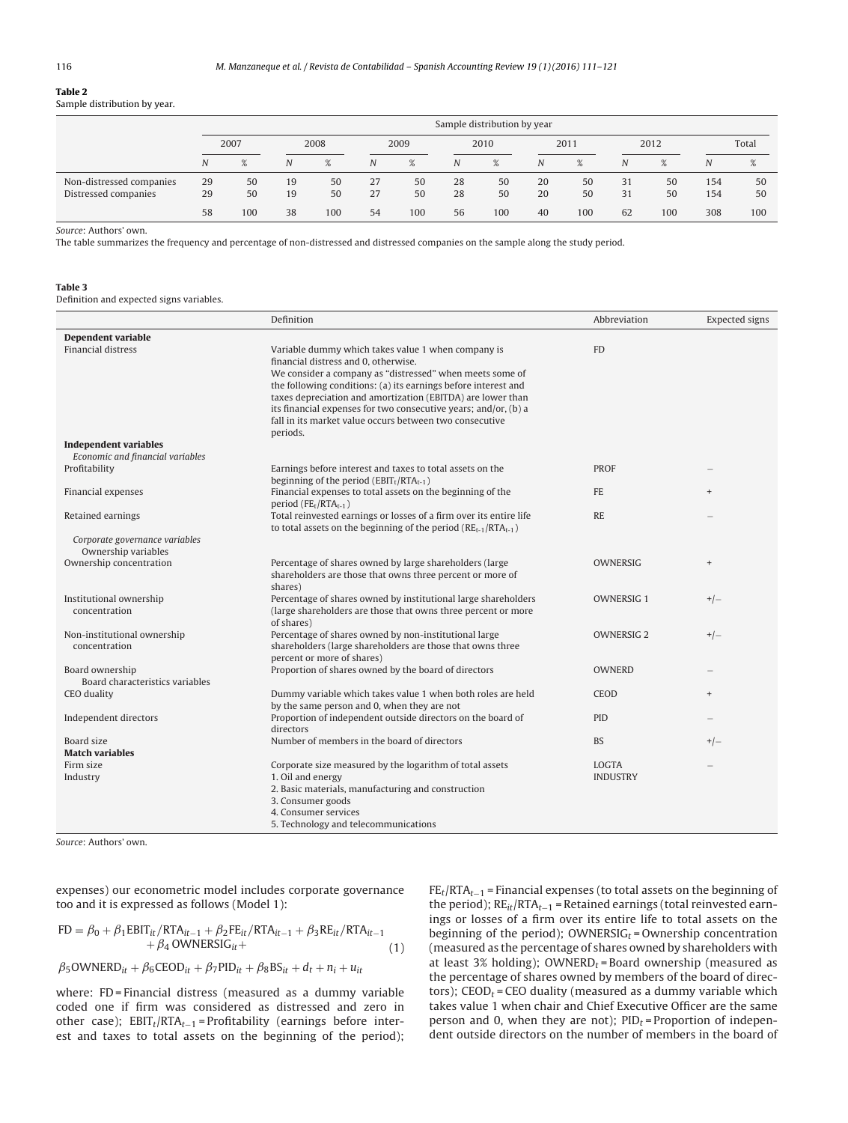## <span id="page-5-0"></span>**Table 2**

Sample distribution by year.

|                                                  |          |          |          |          |          |          |          | Sample distribution by year |          |          |          |          |            |          |
|--------------------------------------------------|----------|----------|----------|----------|----------|----------|----------|-----------------------------|----------|----------|----------|----------|------------|----------|
|                                                  |          | 2007     |          | 2008     |          | 2009     |          | 2010                        |          | 2011     |          | 2012     |            | Total    |
|                                                  | N        | %        | N        | %        | N        | %        | N        | %                           | N        | %        | N        | %        | Ν          | %        |
| Non-distressed companies<br>Distressed companies | 29<br>29 | 50<br>50 | 19<br>19 | 50<br>50 | 27<br>27 | 50<br>50 | 28<br>28 | 50<br>50                    | 20<br>20 | 50<br>50 | 31<br>31 | 50<br>50 | 154<br>154 | 50<br>50 |
|                                                  | 58       | 100      | 38       | 100      | 54       | 100      | 56       | 100                         | 40       | 100      | 62       | 100      | 308        | 100      |

Source: Authors' own.

The table summarizes the frequency and percentage of non-distressed and distressed companies on the sample along the study period.

#### **Table 3**

Definition and expected signs variables.

|                                  | Definition                                                                                                                 | Abbreviation      | <b>Expected signs</b> |
|----------------------------------|----------------------------------------------------------------------------------------------------------------------------|-------------------|-----------------------|
| Dependent variable               |                                                                                                                            |                   |                       |
| Financial distress               | Variable dummy which takes value 1 when company is                                                                         | <b>FD</b>         |                       |
|                                  | financial distress and 0, otherwise.                                                                                       |                   |                       |
|                                  | We consider a company as "distressed" when meets some of                                                                   |                   |                       |
|                                  | the following conditions: (a) its earnings before interest and                                                             |                   |                       |
|                                  | taxes depreciation and amortization (EBITDA) are lower than                                                                |                   |                       |
|                                  | its financial expenses for two consecutive years; and/or, (b) a<br>fall in its market value occurs between two consecutive |                   |                       |
|                                  | periods.                                                                                                                   |                   |                       |
| <b>Independent variables</b>     |                                                                                                                            |                   |                       |
| Economic and financial variables |                                                                                                                            |                   |                       |
| Profitability                    | Earnings before interest and taxes to total assets on the                                                                  | <b>PROF</b>       |                       |
|                                  | beginning of the period ( $EBIT_t/RTA_{t-1}$ )                                                                             |                   |                       |
| Financial expenses               | Financial expenses to total assets on the beginning of the                                                                 | <b>FE</b>         | $+$                   |
|                                  | period ( $FE_t/RTA_{t-1}$ )                                                                                                |                   |                       |
| Retained earnings                | Total reinvested earnings or losses of a firm over its entire life                                                         | <b>RE</b>         |                       |
|                                  | to total assets on the beginning of the period ( $RE_{t-1}/RTA_{t-1}$ )                                                    |                   |                       |
| Corporate governance variables   |                                                                                                                            |                   |                       |
| Ownership variables              |                                                                                                                            |                   | $+$                   |
| Ownership concentration          | Percentage of shares owned by large shareholders (large<br>shareholders are those that owns three percent or more of       | <b>OWNERSIG</b>   |                       |
|                                  | shares)                                                                                                                    |                   |                       |
| Institutional ownership          | Percentage of shares owned by institutional large shareholders                                                             | <b>OWNERSIG 1</b> | $+/-$                 |
| concentration                    | (large shareholders are those that owns three percent or more                                                              |                   |                       |
|                                  | of shares)                                                                                                                 |                   |                       |
| Non-institutional ownership      | Percentage of shares owned by non-institutional large                                                                      | <b>OWNERSIG 2</b> | $+/-$                 |
| concentration                    | shareholders (large shareholders are those that owns three                                                                 |                   |                       |
|                                  | percent or more of shares)                                                                                                 |                   |                       |
| Board ownership                  | Proportion of shares owned by the board of directors                                                                       | <b>OWNERD</b>     |                       |
| Board characteristics variables  |                                                                                                                            |                   |                       |
| CEO duality                      | Dummy variable which takes value 1 when both roles are held                                                                | <b>CEOD</b>       | $+$                   |
|                                  | by the same person and 0, when they are not                                                                                |                   |                       |
| Independent directors            | Proportion of independent outside directors on the board of<br>directors                                                   | <b>PID</b>        |                       |
| Board size                       | Number of members in the board of directors                                                                                | <b>BS</b>         | $+/-$                 |
| <b>Match variables</b>           |                                                                                                                            |                   |                       |
| Firm size                        | Corporate size measured by the logarithm of total assets                                                                   | LOGTA             |                       |
| Industry                         | 1. Oil and energy                                                                                                          | <b>INDUSTRY</b>   |                       |
|                                  | 2. Basic materials, manufacturing and construction                                                                         |                   |                       |
|                                  | 3. Consumer goods                                                                                                          |                   |                       |
|                                  | 4. Consumer services                                                                                                       |                   |                       |
|                                  | 5. Technology and telecommunications                                                                                       |                   |                       |

Source: Authors' own.

expenses) our econometric model includes corporate governance too and it is expressed as follows (Model 1):

$$
FD = \beta_0 + \beta_1 EBIT_{it}/RTA_{it-1} + \beta_2 FE_{it}/RTA_{it-1} + \beta_3 RE_{it}/RTA_{it-1} + \beta_4 OWNERSIG_{it} +
$$
\n(1)

$$
\beta_5 \text{OWNERD}_{it} + \beta_6 \text{CEOD}_{it} + \beta_7 \text{PID}_{it} + \beta_8 \text{BS}_{it} + d_t + n_i + u_{it}
$$

where: FD = Financial distress (measured as a dummy variable coded one if firm was considered as distressed and zero in other case);  $EBIT_t/RTA_{t-1}$  = Profitability (earnings before interest and taxes to total assets on the beginning of the period);

 $FE_t/RTA_{t-1}$  = Financial expenses (to total assets on the beginning of the period);  $RE_{it}/RTA_{t-1}$  = Retained earnings (total reinvested earnings or losses of a firm over its entire life to total assets on the beginning of the period); OWNERSI $G_t$  = Ownership concentration (measured as the percentage of shares owned by shareholders with at least 3% holding); OWNERD $<sub>t</sub>$  = Board ownership (measured as</sub> the percentage of shares owned by members of the board of directors);  $\text{CEOD}_t$  = CEO duality (measured as a dummy variable which takes value 1 when chair and Chief Executive Officer are the same person and 0, when they are not);  $PID_t =$ Proportion of independent outside directors on the number of members in the board of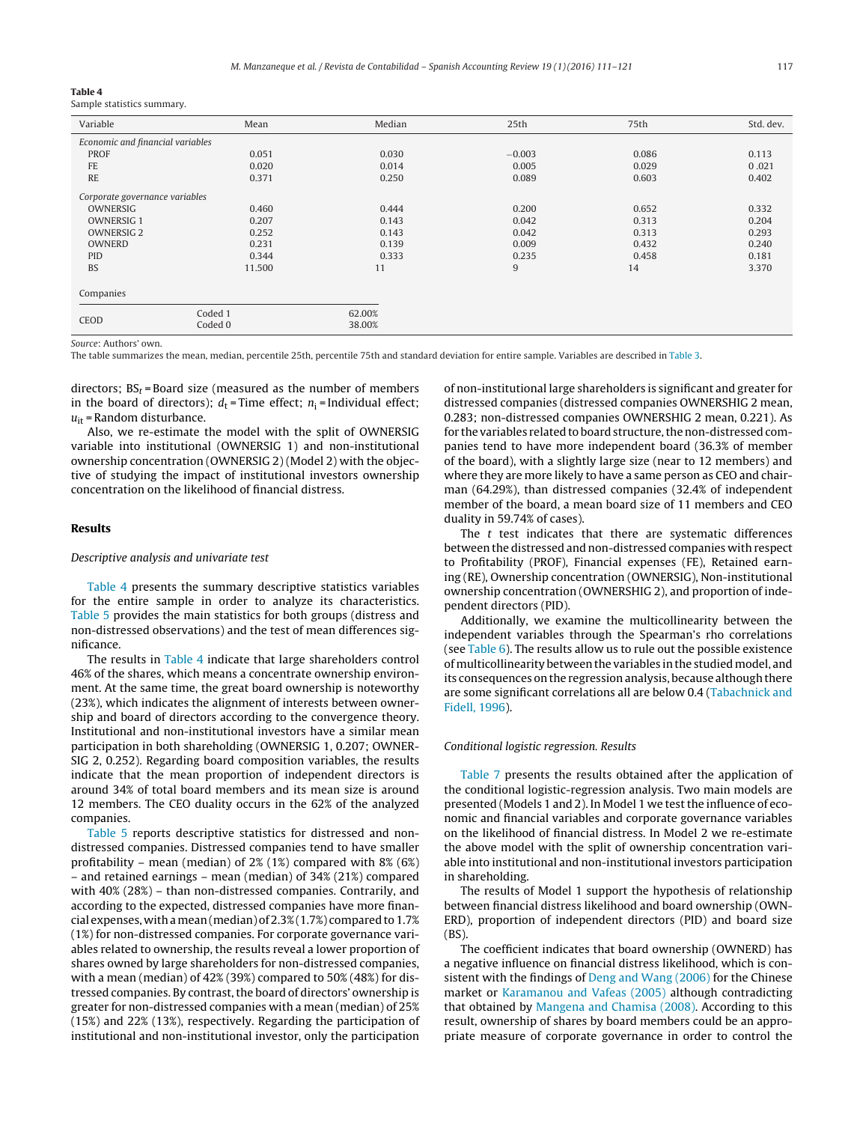#### **Table 4**

Sample statistics summary.

| Variable                         | Mean               | Median           | 25 <sub>th</sub> | 75th  | Std. dev. |
|----------------------------------|--------------------|------------------|------------------|-------|-----------|
| Economic and financial variables |                    |                  |                  |       |           |
| <b>PROF</b>                      | 0.051              | 0.030            | $-0.003$         | 0.086 | 0.113     |
| <b>FE</b>                        | 0.020              | 0.014            | 0.005            | 0.029 | 0.021     |
| <b>RE</b>                        | 0.371              | 0.250            | 0.089            | 0.603 | 0.402     |
| Corporate governance variables   |                    |                  |                  |       |           |
| OWNERSIG                         | 0.460              | 0.444            | 0.200            | 0.652 | 0.332     |
| <b>OWNERSIG1</b>                 | 0.207              | 0.143            | 0.042            | 0.313 | 0.204     |
| <b>OWNERSIG 2</b>                | 0.252              | 0.143            | 0.042            | 0.313 | 0.293     |
| <b>OWNERD</b>                    | 0.231              | 0.139            | 0.009            | 0.432 | 0.240     |
| <b>PID</b>                       | 0.344              | 0.333            | 0.235            | 0.458 | 0.181     |
| <b>BS</b>                        | 11.500             | 11               | 9                | 14    | 3.370     |
| Companies                        |                    |                  |                  |       |           |
| <b>CEOD</b>                      | Coded 1<br>Coded 0 | 62.00%<br>38.00% |                  |       |           |

Source: Authors' own.

The table summarizes the mean, median, percentile 25th, percentile 75th and standard deviation for entire sample. Variables are described in [Table](#page-5-0) 3.

directors;  $BS_t = Board$  size (measured as the number of members in the board of directors);  $d_t$  = Time effect;  $n_i$  = Individual effect;  $u_{it}$  = Random disturbance.

Also, we re-estimate the model with the split of OWNERSIG variable into institutional (OWNERSIG 1) and non-institutional ownership concentration (OWNERSIG 2) (Model 2) with the objective of studying the impact of institutional investors ownership concentration on the likelihood of financial distress.

#### **Results**

## Descriptive analysis and univariate test

Table 4 presents the summary descriptive statistics variables for the entire sample in order to analyze its characteristics. [Table](#page-7-0) 5 provides the main statistics for both groups (distress and non-distressed observations) and the test of mean differences significance.

The results in Table 4 indicate that large shareholders control 46% of the shares, which means a concentrate ownership environment. At the same time, the great board ownership is noteworthy (23%), which indicates the alignment of interests between ownership and board of directors according to the convergence theory. Institutional and non-institutional investors have a similar mean participation in both shareholding (OWNERSIG 1, 0.207; OWNER-SIG 2, 0.252). Regarding board composition variables, the results indicate that the mean proportion of independent directors is around 34% of total board members and its mean size is around 12 members. The CEO duality occurs in the 62% of the analyzed companies.

[Table](#page-7-0) 5 reports descriptive statistics for distressed and nondistressed companies. Distressed companies tend to have smaller profitability – mean (median) of 2% (1%) compared with 8% (6%) – and retained earnings – mean (median) of 34% (21%) compared with 40% (28%) – than non-distressed companies. Contrarily, and according to the expected, distressed companies have more financial expenses, with a mean (median) of  $2.3\%$  (1.7%) compared to 1.7% (1%) for non-distressed companies. For corporate governance variables related to ownership, the results reveal a lower proportion of shares owned by large shareholders for non-distressed companies, with a mean (median) of 42% (39%) compared to 50% (48%) for distressed companies. By contrast, the board of directors' ownership is greater for non-distressed companies with a mean (median) of 25% (15%) and 22% (13%), respectively. Regarding the participation of institutional and non-institutional investor, only the participation of non-institutional large shareholders is significant and greater for distressed companies (distressed companies OWNERSHIG 2 mean, 0.283; non-distressed companies OWNERSHIG 2 mean, 0.221). As for the variables related to board structure, the non-distressed companies tend to have more independent board (36.3% of member of the board), with a slightly large size (near to 12 members) and where they are more likely to have a same person as CEO and chairman (64.29%), than distressed companies (32.4% of independent member of the board, a mean board size of 11 members and CEO duality in 59.74% of cases).

The  $t$  test indicates that there are systematic differences between the distressed and non-distressed companies with respect to Profitability (PROF), Financial expenses (FE), Retained earning (RE), Ownership concentration (OWNERSIG), Non-institutional ownership concentration (OWNERSHIG 2), and proportion of independent directors (PID).

Additionally, we examine the multicollinearity between the independent variables through the Spearman's rho correlations (see [Table](#page-7-0) 6). The results allow us to rule out the possible existence ofmulticollinearity between the variables in the studiedmodel, and its consequences on the regression analysis, because although there are some significant correlations all are below 0.4 ([Tabachnick](#page-10-0) [and](#page-10-0) [Fidell,](#page-10-0) [1996\).](#page-10-0)

## Conditional logistic regression. Results

[Table](#page-8-0) 7 presents the results obtained after the application of the conditional logistic-regression analysis. Two main models are presented (Models 1 and 2). In Model 1 we test the influence of economic and financial variables and corporate governance variables on the likelihood of financial distress. In Model 2 we re-estimate the above model with the split of ownership concentration variable into institutional and non-institutional investors participation in shareholding.

The results of Model 1 support the hypothesis of relationship between financial distress likelihood and board ownership (OWN-ERD), proportion of independent directors (PID) and board size  $(BS)$ 

The coefficient indicates that board ownership (OWNERD) has a negative influence on financial distress likelihood, which is consistent with the findings of [Deng](#page-10-0) [and](#page-10-0) [Wang](#page-10-0) [\(2006\)](#page-10-0) for the Chinese market or [Karamanou](#page-10-0) [and](#page-10-0) [Vafeas](#page-10-0) [\(2005\)](#page-10-0) although contradicting that obtained by [Mangena](#page-10-0) [and](#page-10-0) [Chamisa](#page-10-0) [\(2008\).](#page-10-0) According to this result, ownership of shares by board members could be an appropriate measure of corporate governance in order to control the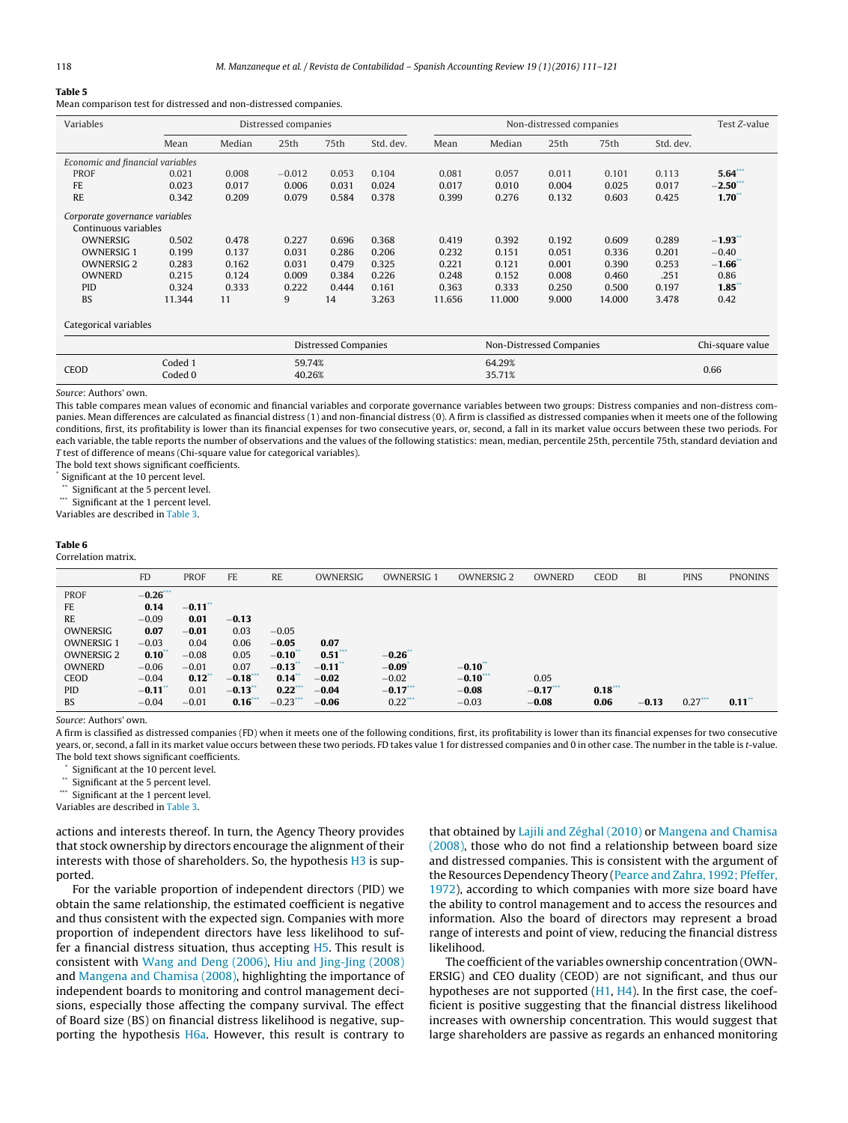## <span id="page-7-0"></span>**Table 5**

Mean comparison test for distressed and non-distressed companies.

| Variables                                              |                    |        | Distressed companies |                      |           |        |                          | Non-distressed companies |        |           | Test Z-value         |
|--------------------------------------------------------|--------------------|--------|----------------------|----------------------|-----------|--------|--------------------------|--------------------------|--------|-----------|----------------------|
|                                                        | Mean               | Median | 25th                 | 75th                 | Std. dev. | Mean   | Median                   | 25th                     | 75th   | Std. dev. |                      |
| Economic and financial variables                       |                    |        |                      |                      |           |        |                          |                          |        |           |                      |
| <b>PROF</b>                                            | 0.021              | 0.008  | $-0.012$             | 0.053                | 0.104     | 0.081  | 0.057                    | 0.011                    | 0.101  | 0.113     | $5.64***$            |
| FE                                                     | 0.023              | 0.017  | 0.006                | 0.031                | 0.024     | 0.017  | 0.010                    | 0.004                    | 0.025  | 0.017     | $-2.50^{\degree}$    |
| <b>RE</b>                                              | 0.342              | 0.209  | 0.079                | 0.584                | 0.378     | 0.399  | 0.276                    | 0.132                    | 0.603  | 0.425     | $1.70^{\circ}$       |
| Corporate governance variables<br>Continuous variables |                    |        |                      |                      |           |        |                          |                          |        |           |                      |
| <b>OWNERSIG</b>                                        | 0.502              | 0.478  | 0.227                | 0.696                | 0.368     | 0.419  | 0.392                    | 0.192                    | 0.609  | 0.289     | $-1.93$              |
| <b>OWNERSIG1</b>                                       | 0.199              | 0.137  | 0.031                | 0.286                | 0.206     | 0.232  | 0.151                    | 0.051                    | 0.336  | 0.201     | $-0.40$              |
| <b>OWNERSIG 2</b>                                      | 0.283              | 0.162  | 0.031                | 0.479                | 0.325     | 0.221  | 0.121                    | 0.001                    | 0.390  | 0.253     | $-1.66$ <sup>*</sup> |
| <b>OWNERD</b>                                          | 0.215              | 0.124  | 0.009                | 0.384                | 0.226     | 0.248  | 0.152                    | 0.008                    | 0.460  | .251      | 0.86                 |
| <b>PID</b>                                             | 0.324              | 0.333  | 0.222                | 0.444                | 0.161     | 0.363  | 0.333                    | 0.250                    | 0.500  | 0.197     | $1.85$ <sup>*</sup>  |
| <b>BS</b>                                              | 11.344             | 11     | 9                    | 14                   | 3.263     | 11.656 | 11.000                   | 9.000                    | 14.000 | 3.478     | 0.42                 |
| Categorical variables                                  |                    |        |                      |                      |           |        |                          |                          |        |           |                      |
|                                                        |                    |        |                      | Distressed Companies |           |        | Non-Distressed Companies |                          |        |           | Chi-square value     |
| <b>CEOD</b>                                            | Coded 1<br>Coded 0 |        | 59.74%<br>40.26%     |                      |           |        | 64.29%<br>35.71%         |                          |        |           | 0.66                 |

Source: Authors' own.

This table compares mean values of economic and financial variables and corporate governance variables between two groups: Distress companies and non-distress companies. Mean differences are calculated as financial distress (1) and non-financial distress (0). A firm is classified as distressed companies when it meets one of the following conditions, first, its profitability is lower than its financial expenses for two consecutive years, or, second, a fall in its market value occurs between these two periods. For each variable, the table reports the number of observations and the values of the following statistics: mean, median, percentile 25th, percentile 75th, standard deviation and T test of difference of means (Chi-square value for categorical variables).

The bold text shows significant coefficients.

Significant at the 10 percent level.

Significant at the 5 percent level.

Significant at the 1 percent level.

Variables are described in [Table](#page-5-0) 3.

#### **Table 6**

Correlation matrix.

|                   | <b>FD</b>  | <b>PROF</b> | <b>FE</b>            | <b>RE</b>   | OWNERSIG   | <b>OWNERSIG1</b> | <b>OWNERSIG 2</b> | OWNERD  | <b>CEOD</b> | <b>BI</b> | <b>PINS</b> | <b>PNONINS</b>       |
|-------------------|------------|-------------|----------------------|-------------|------------|------------------|-------------------|---------|-------------|-----------|-------------|----------------------|
| <b>PROF</b>       | $-0.26***$ |             |                      |             |            |                  |                   |         |             |           |             |                      |
| <b>FE</b>         | 0.14       | $-0.11$ "   |                      |             |            |                  |                   |         |             |           |             |                      |
| <b>RE</b>         | $-0.09$    | 0.01        | $-0.13$              |             |            |                  |                   |         |             |           |             |                      |
| <b>OWNERSIG</b>   | 0.07       | $-0.01$     | 0.03                 | $-0.05$     |            |                  |                   |         |             |           |             |                      |
| <b>OWNERSIG 1</b> | $-0.03$    | 0.04        | 0.06                 | $-0.05$     | 0.07       |                  |                   |         |             |           |             |                      |
| <b>OWNERSIG 2</b> | $0.10^{*}$ | $-0.08$     | 0.05                 | $-0.10^*$   | $0.51$ *** | $-0.26$          |                   |         |             |           |             |                      |
| <b>OWNERD</b>     | $-0.06$    | $-0.01$     | 0.07                 | $-0.13$     | $-0.11$    | $-0.09$          | $-0.10$           |         |             |           |             |                      |
| <b>CEOD</b>       | $-0.04$    | $0.12^*$    | $-0.18$              | 0.14        | $-0.02$    | $-0.02$          | $-0.10$           | 0.05    |             |           |             |                      |
| <b>PID</b>        | $-0.11"$   | 0.01        | $-0.13$ <sup>*</sup> | 0.22        | $-0.04$    | $-0.17***$       | $-0.08$           | $-0.17$ | 0.18        |           |             |                      |
| <b>BS</b>         | $-0.04$    | $-0.01$     | 0.16                 | $-0.23$ *** | $-0.06$    | $0.22***$        | $-0.03$           | $-0.08$ | 0.06        | $-0.13$   | 0.27        | $0.11$ <sup>**</sup> |

Source: Authors' own.

A firm is classified as distressed companies (FD) when it meets one of the following conditions, first, its profitability is lower than its financial expenses for two consecutive years, or, second, a fall in its market value occurs between these two periods. FD takes value 1 for distressed companies and 0 in other case. The number in the table is t-value. The bold text shows significant coefficients.

Significant at the 10 percent level.

Significant at the 5 percent level.

\*\*\* Significant at the 1 percent level.

Variables are described in [Table](#page-5-0) 3.

actions and interests thereof. In turn, the Agency Theory provides that stock ownership by directors encourage the alignment of their interests with those of shareholders. So, the hypothesis [H3](#page-2-0) is supported.

For the variable proportion of independent directors (PID) we obtain the same relationship, the estimated coefficient is negative and thus consistent with the expected sign. Companies with more proportion of independent directors have less likelihood to suffer a financial distress situation, thus accepting [H5.](#page-3-0) This result is consistent with [Wang](#page-10-0) [and](#page-10-0) [Deng](#page-10-0) [\(2006\),](#page-10-0) [Hiu](#page-10-0) [and](#page-10-0) [Jing-Jing](#page-10-0) [\(2008\)](#page-10-0) and [Mangena](#page-10-0) [and](#page-10-0) [Chamisa](#page-10-0) [\(2008\),](#page-10-0) highlighting the importance of independent boards to monitoring and control management decisions, especially those affecting the company survival. The effect of Board size (BS) on financial distress likelihood is negative, sup-porting the hypothesis [H6a.](#page-3-0) However, this result is contrary to that obtained by [Lajili](#page-10-0) [and](#page-10-0) [Zéghal](#page-10-0) [\(2010\)](#page-10-0) or [Mangena](#page-10-0) [and](#page-10-0) [Chamisa](#page-10-0) [\(2008\),](#page-10-0) those who do not find a relationship between board size and distressed companies. This is consistent with the argument of the Resources Dependency Theory [\(Pearce](#page-10-0) [and](#page-10-0) [Zahra,](#page-10-0) [1992;](#page-10-0) [Pfeffer,](#page-10-0) [1972\),](#page-10-0) according to which companies with more size board have the ability to control management and to access the resources and information. Also the board of directors may represent a broad range of interests and point of view, reducing the financial distress likelihood.

The coefficient of the variables ownership concentration (OWN-ERSIG) and CEO duality (CEOD) are not significant, and thus our hypotheses are not supported ([H1,](#page-2-0) [H4\).](#page-3-0) In the first case, the coefficient is positive suggesting that the financial distress likelihood increases with ownership concentration. This would suggest that large shareholders are passive as regards an enhanced monitoring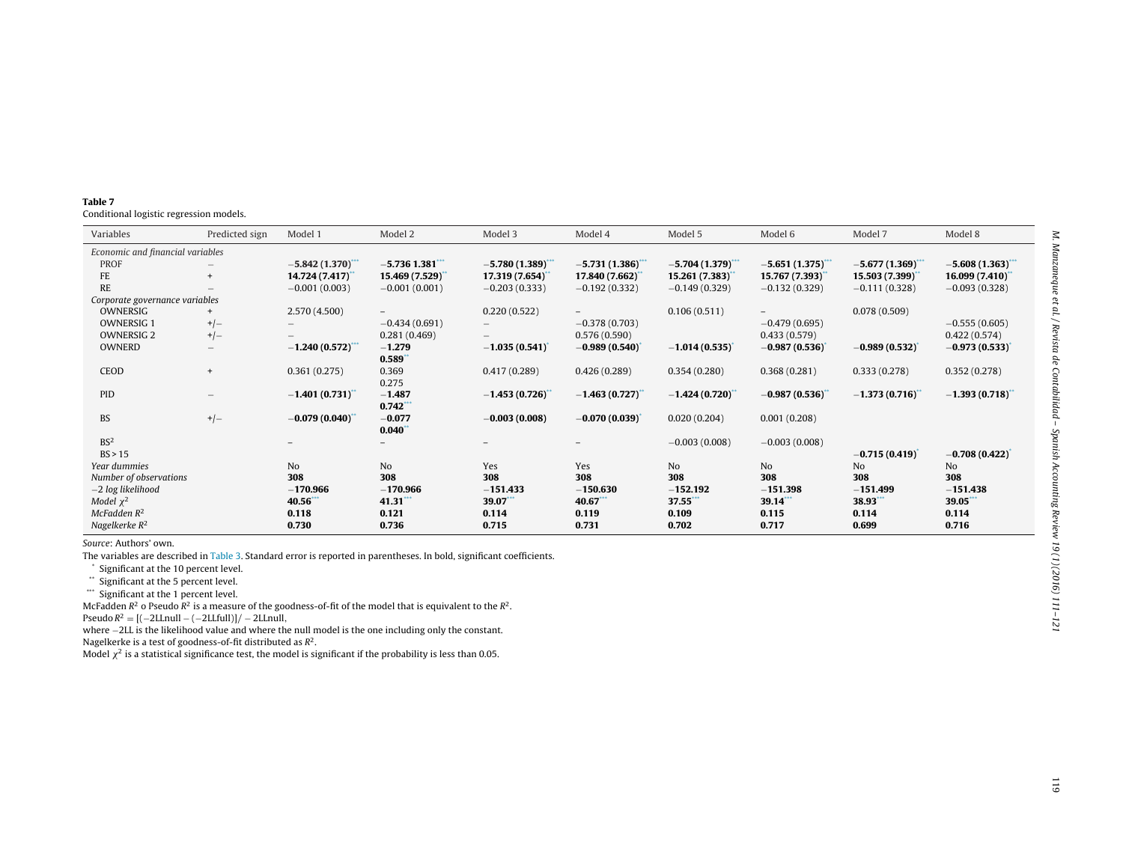<span id="page-8-0"></span>

Conditional logistic regression models.

| Variables                        | Predicted sign | Model 1         | Model 2              | Model 3             | Model 4             | Model 5                      | Model 6           | Model 7           | Model 8                      |
|----------------------------------|----------------|-----------------|----------------------|---------------------|---------------------|------------------------------|-------------------|-------------------|------------------------------|
| Economic and financial variables |                |                 |                      |                     |                     |                              |                   |                   |                              |
| <b>PROF</b>                      |                | $-5.842(1.370)$ | $-5.736$ 1.381       | $-5.780(1.389)$     | $-5.731(1.386)$     | $-5.704(1.379)$              | $-5.651(1.375)$   | $-5.677(1.369)$   | $-5.608(1.363)$ <sup>*</sup> |
| <b>FE</b>                        | $+$            | 14.724 (7.417)  | 15.469 (7.529)       | 17.319 (7.654)      | 17.840 (7.662)      | 15.261 (7.383)               | 15.767 (7.393)    | 15.503 (7.399)    | $16.099(7.410)^{*}$          |
| <b>RE</b>                        |                | $-0.001(0.003)$ | $-0.001(0.001)$      | $-0.203(0.333)$     | $-0.192(0.332)$     | $-0.149(0.329)$              | $-0.132(0.329)$   | $-0.111(0.328)$   | $-0.093(0.328)$              |
| Corporate governance variables   |                |                 |                      |                     |                     |                              |                   |                   |                              |
| OWNERSIG                         |                | 2.570 (4.500)   |                      | 0.220(0.522)        |                     | 0.106(0.511)                 |                   | 0.078(0.509)      |                              |
| <b>OWNERSIG1</b>                 | $+/-$          |                 | $-0.434(0.691)$      |                     | $-0.378(0.703)$     |                              | $-0.479(0.695)$   |                   | $-0.555(0.605)$              |
| <b>OWNERSIG 2</b>                | $+/-$          |                 | 0.281(0.469)         |                     | 0.576(0.590)        |                              | 0.433(0.579)      |                   | 0.422(0.574)                 |
| OWNERD                           |                | $-1.240(0.572)$ | $-1.279$             | $-1.035(0.541)^{t}$ | $-0.989(0.540)^{*}$ | $-1.014(0.535)$              | $-0.987(0.536)^*$ | $-0.989(0.532)^t$ | $-0.973(0.533)$              |
|                                  |                |                 | $0.589$ <sup>*</sup> |                     |                     |                              |                   |                   |                              |
| CEOD                             | $+$            | 0.361(0.275)    | 0.369                | 0.417(0.289)        | 0.426(0.289)        | 0.354(0.280)                 | 0.368(0.281)      | 0.333(0.278)      | 0.352(0.278)                 |
|                                  |                |                 | 0.275                |                     |                     |                              |                   |                   |                              |
| PID                              |                | $-1.401(0.731)$ | $-1.487$             | $-1.453(0.726)$     | $-1.463(0.727)$     | $-1.424(0.720)$ <sup>*</sup> | $-0.987(0.536)$   | $-1.373(0.716)$   | $-1.393(0.718)$ <sup>*</sup> |
|                                  |                |                 | 0.742                |                     |                     |                              |                   |                   |                              |
| <b>BS</b>                        | $+/-$          | $-0.079(0.040)$ | $-0.077$             | $-0.003(0.008)$     | $-0.070(0.039)^{*}$ | 0.020(0.204)                 | 0.001(0.208)      |                   |                              |
|                                  |                |                 | 0.040                |                     |                     |                              |                   |                   |                              |
| BS <sup>2</sup>                  |                |                 |                      |                     |                     | $-0.003(0.008)$              | $-0.003(0.008)$   |                   |                              |
| BS > 15                          |                |                 |                      |                     |                     |                              |                   | $-0.715(0.419)$   | $-0.708(0.422)$              |
| Year dummies                     |                | No              | N <sub>o</sub>       | Yes                 | Yes                 | <b>No</b>                    | N <sub>o</sub>    | N <sub>o</sub>    | N <sub>o</sub>               |
| Number of observations           |                | 308             | 308                  | 308                 | 308                 | 308                          | 308               | 308               | 308                          |
| -2 log likelihood                |                | $-170.966$      | $-170.966$           | $-151.433$          | $-150.630$          | $-152.192$                   | $-151.398$        | $-151.499$        | $-151.438$                   |
| Model $\chi^2$                   |                | 40.56           | $41.31$ <sup>*</sup> | 39.07***            | 40.67               | 37.55***                     | 39.14"            | 38.93**           | 39.05**                      |
| McFadden R <sup>2</sup>          |                | 0.118           | 0.121                | 0.114               | 0.119               | 0.109                        | 0.115             | 0.114             | 0.114                        |
| Nagelkerke $R^2$                 |                | 0.730           | 0.736                | 0.715               | 0.731               | 0.702                        | 0.717             | 0.699             | 0.716                        |

Source: Authors' own.

The variables are described in [Table](#page-5-0) 3. Standard error is reported in parentheses. In bold, significant coefficients.

\* Significant at the 10 percent level.

\*\* Significant at the 5 percent level.

\*\*\* Significant at the 1 percent level.

McFadden  $R^2$  o Pseudo  $R^2$  is a measure of the goodness-of-fit of the model that is equivalent to the  $R^2$ . Pseudo  $R^2 = [(-2LLnull - (-2LLfull)] / - 2LLnull]$ 

where <sup>−</sup>2LL is the likelihood value and where the null model is the one including only the constant. Nagelkerke is a test of goodness-of-fit distributed as  $R^2$ .

Model  $\chi^2$  is a statistical significance test, the model is significant if the probability is less than 0.05.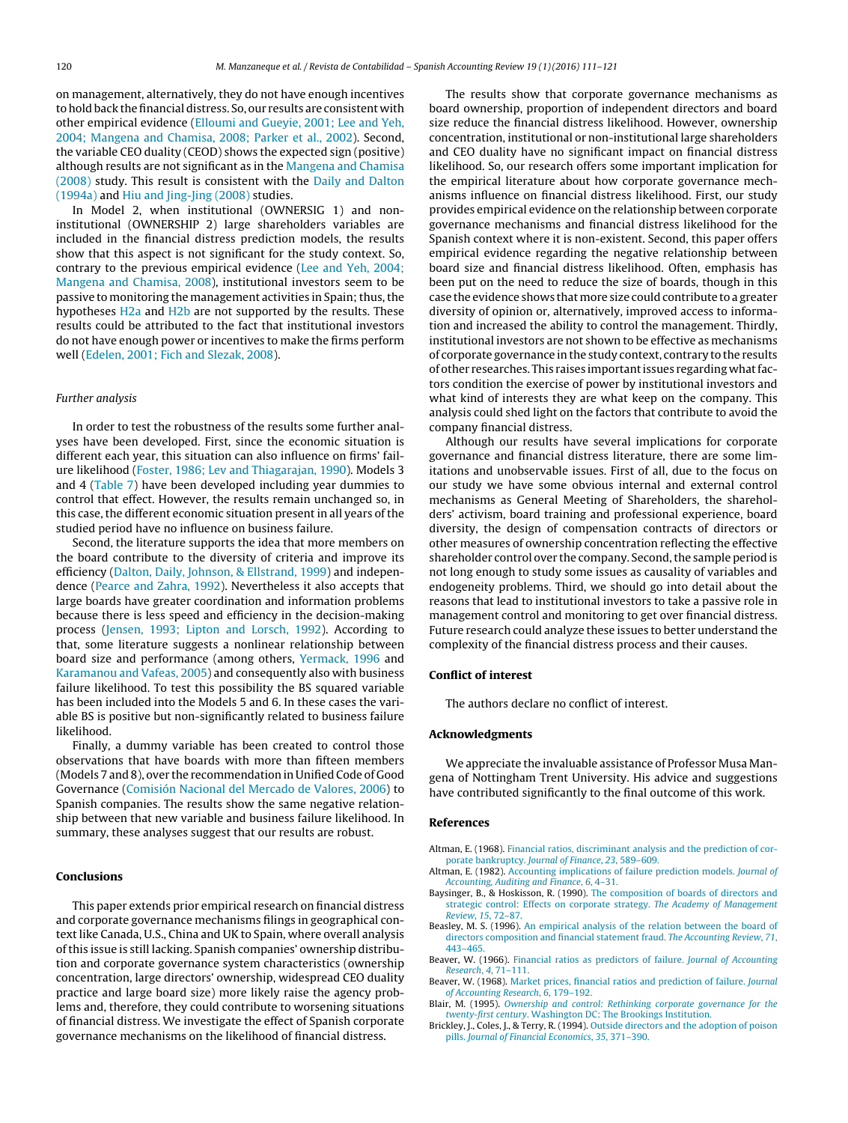<span id="page-9-0"></span>on management, alternatively, they do not have enough incentives to hold back the financial distress. So, our results are consistent with other empirical evidence [\(Elloumi and Gueyie, 2001; Lee and Yeh,](#page-10-0) [2004; Mangena and Chamisa, 2008; Parker et al., 2002\).](#page-10-0) Second, the variable CEO duality (CEOD) shows the expected sign (positive) although results are not significant as in the [Mangena and Chamisa](#page-10-0) [\(2008\)](#page-10-0) study. This result is consistent with the [Daily and Dalton](#page-10-0) [\(1994a\)](#page-10-0) and [Hiu and Jing-Jing \(2008\)](#page-10-0) studies.

In Model 2, when institutional (OWNERSIG 1) and noninstitutional (OWNERSHIP 2) large shareholders variables are included in the financial distress prediction models, the results show that this aspect is not significant for the study context. So, contrary to the previous empirical evidence ([Lee and Yeh, 2004;](#page-10-0) [Mangena and Chamisa, 2008\),](#page-10-0) institutional investors seem to be passive to monitoring the management activities in Spain; thus, the hypotheses H<sub>2</sub>a and H<sub>2</sub>b are not supported by the results. These results could be attributed to the fact that institutional investors do not have enough power or incentives to make the firms perform well [\(Edelen, 2001; Fich and Slezak, 2008\).](#page-10-0)

#### Further analysis

In order to test the robustness of the results some further analyses have been developed. First, since the economic situation is different each year, this situation can also influence on firms' failure likelihood [\(Foster, 1986; Lev and Thiagarajan, 1990\).](#page-10-0) Models 3 and 4 ([Table 7\)](#page-8-0) have been developed including year dummies to control that effect. However, the results remain unchanged so, in this case, the different economic situation present in all years of the studied period have no influence on business failure.

Second, the literature supports the idea that more members on the board contribute to the diversity of criteria and improve its efficiency ([Dalton, Daily, Johnson, & Ellstrand, 1999\)](#page-10-0) and independence [\(Pearce and Zahra, 1992\).](#page-10-0) Nevertheless it also accepts that large boards have greater coordination and information problems because there is less speed and efficiency in the decision-making process [\(Jensen, 1993; Lipton and Lorsch, 1992\).](#page-10-0) According to that, some literature suggests a nonlinear relationship between board size and performance (among others, [Yermack, 1996](#page-10-0) and [Karamanou and Vafeas, 2005\) a](#page-10-0)nd consequently also with business failure likelihood. To test this possibility the BS squared variable has been included into the Models 5 and 6. In these cases the variable BS is positive but non-significantly related to business failure likelihood.

Finally, a dummy variable has been created to control those observations that have boards with more than fifteen members (Models 7 and 8), over the recommendation in Unified Code of Good Governance ([Comisión Nacional del Mercado de Valores, 2006\)](#page-10-0) to Spanish companies. The results show the same negative relationship between that new variable and business failure likelihood. In summary, these analyses suggest that our results are robust.

## **Conclusions**

This paper extends prior empirical research on financial distress and corporate governance mechanisms filings in geographical context like Canada, U.S., China and UK to Spain, where overall analysis of this issue is still lacking. Spanish companies' ownership distribution and corporate governance system characteristics (ownership concentration, large directors' ownership, widespread CEO duality practice and large board size) more likely raise the agency problems and, therefore, they could contribute to worsening situations of financial distress. We investigate the effect of Spanish corporate governance mechanisms on the likelihood of financial distress.

The results show that corporate governance mechanisms as board ownership, proportion of independent directors and board size reduce the financial distress likelihood. However, ownership concentration, institutional or non-institutional large shareholders and CEO duality have no significant impact on financial distress likelihood. So, our research offers some important implication for the empirical literature about how corporate governance mechanisms influence on financial distress likelihood. First, our study provides empirical evidence on the relationship between corporate governance mechanisms and financial distress likelihood for the Spanish context where it is non-existent. Second, this paper offers empirical evidence regarding the negative relationship between board size and financial distress likelihood. Often, emphasis has been put on the need to reduce the size of boards, though in this case the evidence shows that more size could contribute to a greater diversity of opinion or, alternatively, improved access to information and increased the ability to control the management. Thirdly, institutional investors are not shown to be effective as mechanisms of corporate governance in the study context, contrary to the results of other researches. This raises important issues regarding what factors condition the exercise of power by institutional investors and what kind of interests they are what keep on the company. This analysis could shed light on the factors that contribute to avoid the company financial distress.

Although our results have several implications for corporate governance and financial distress literature, there are some limitations and unobservable issues. First of all, due to the focus on our study we have some obvious internal and external control mechanisms as General Meeting of Shareholders, the shareholders' activism, board training and professional experience, board diversity, the design of compensation contracts of directors or other measures of ownership concentration reflecting the effective shareholder control over the company. Second, the sample period is not long enough to study some issues as causality of variables and endogeneity problems. Third, we should go into detail about the reasons that lead to institutional investors to take a passive role in management control and monitoring to get over financial distress. Future research could analyze these issues to better understand the complexity of the financial distress process and their causes.

## **Conflict of interest**

The authors declare no conflict of interest.

## **Acknowledgments**

We appreciate the invaluable assistance of Professor Musa Mangena of Nottingham Trent University. His advice and suggestions have contributed significantly to the final outcome of this work.

#### **References**

- Altman, E. (1968). [Financial ratios, discriminant analysis and the prediction of cor](http://refhub.elsevier.com/S1138-4891(15)00020-5/sbref0005)[porate bankruptcy.](http://refhub.elsevier.com/S1138-4891(15)00020-5/sbref0005) [Journal of Finance](http://refhub.elsevier.com/S1138-4891(15)00020-5/sbref0005)[,](http://refhub.elsevier.com/S1138-4891(15)00020-5/sbref0005) [23](http://refhub.elsevier.com/S1138-4891(15)00020-5/sbref0005)[, 589–609.](http://refhub.elsevier.com/S1138-4891(15)00020-5/sbref0005)
- Altman, E. (1982). [Accounting implications of failure prediction models.](http://refhub.elsevier.com/S1138-4891(15)00020-5/sbref0010) [Journal of](http://refhub.elsevier.com/S1138-4891(15)00020-5/sbref0010) [Accounting, Auditing and Finance](http://refhub.elsevier.com/S1138-4891(15)00020-5/sbref0010)[,](http://refhub.elsevier.com/S1138-4891(15)00020-5/sbref0010) [6](http://refhub.elsevier.com/S1138-4891(15)00020-5/sbref0010)[, 4–31.](http://refhub.elsevier.com/S1138-4891(15)00020-5/sbref0010)
- Baysinger, B., & Hoskisson, R. (1990). [The composition of boards of directors and](http://refhub.elsevier.com/S1138-4891(15)00020-5/sbref0015) [strategic control: Effects on corporate strategy.](http://refhub.elsevier.com/S1138-4891(15)00020-5/sbref0015) [The Academy of Management](http://refhub.elsevier.com/S1138-4891(15)00020-5/sbref0015) [Review](http://refhub.elsevier.com/S1138-4891(15)00020-5/sbref0015), [15](http://refhub.elsevier.com/S1138-4891(15)00020-5/sbref0015)[, 72–87.](http://refhub.elsevier.com/S1138-4891(15)00020-5/sbref0015)
- Beasley, M. S. (1996). [An empirical analysis of the relation between the board of](http://refhub.elsevier.com/S1138-4891(15)00020-5/sbref0020) [directors composition and financial statement fraud.](http://refhub.elsevier.com/S1138-4891(15)00020-5/sbref0020) [The Accounting Review](http://refhub.elsevier.com/S1138-4891(15)00020-5/sbref0020)[,](http://refhub.elsevier.com/S1138-4891(15)00020-5/sbref0020) [71](http://refhub.elsevier.com/S1138-4891(15)00020-5/sbref0020)[,](http://refhub.elsevier.com/S1138-4891(15)00020-5/sbref0020) [443](http://refhub.elsevier.com/S1138-4891(15)00020-5/sbref0020)–[465.](http://refhub.elsevier.com/S1138-4891(15)00020-5/sbref0020)
- Beaver, W. (1966). [Financial ratios as predictors of failure.](http://refhub.elsevier.com/S1138-4891(15)00020-5/sbref0025) [Journal of Accounting](http://refhub.elsevier.com/S1138-4891(15)00020-5/sbref0025) [Research](http://refhub.elsevier.com/S1138-4891(15)00020-5/sbref0025), [4](http://refhub.elsevier.com/S1138-4891(15)00020-5/sbref0025)[, 71](http://refhub.elsevier.com/S1138-4891(15)00020-5/sbref0025)–[111.](http://refhub.elsevier.com/S1138-4891(15)00020-5/sbref0025)
- Beaver, W. (1968). [Market prices, financial ratios and prediction of failure.](http://refhub.elsevier.com/S1138-4891(15)00020-5/sbref0030) [Journal](http://refhub.elsevier.com/S1138-4891(15)00020-5/sbref0030) [of Accounting Research](http://refhub.elsevier.com/S1138-4891(15)00020-5/sbref0030)[,](http://refhub.elsevier.com/S1138-4891(15)00020-5/sbref0030) [6](http://refhub.elsevier.com/S1138-4891(15)00020-5/sbref0030)[, 179](http://refhub.elsevier.com/S1138-4891(15)00020-5/sbref0030)–[192.](http://refhub.elsevier.com/S1138-4891(15)00020-5/sbref0030)
- Blair, M. (1995). [Ownership and control: Rethinking corporate governance for the](http://refhub.elsevier.com/S1138-4891(15)00020-5/sbref0035) [twenty-first century](http://refhub.elsevier.com/S1138-4891(15)00020-5/sbref0035)[. Washington DC: The Brookings Institution.](http://refhub.elsevier.com/S1138-4891(15)00020-5/sbref0035)
- Brickley, J., Coles, J., & Terry, R. (1994). [Outside directors and the adoption of poison](http://refhub.elsevier.com/S1138-4891(15)00020-5/sbref0040) [pills.](http://refhub.elsevier.com/S1138-4891(15)00020-5/sbref0040) [Journal of Financial Economics](http://refhub.elsevier.com/S1138-4891(15)00020-5/sbref0040)[,](http://refhub.elsevier.com/S1138-4891(15)00020-5/sbref0040) [35](http://refhub.elsevier.com/S1138-4891(15)00020-5/sbref0040)[, 371](http://refhub.elsevier.com/S1138-4891(15)00020-5/sbref0040)–[390.](http://refhub.elsevier.com/S1138-4891(15)00020-5/sbref0040)